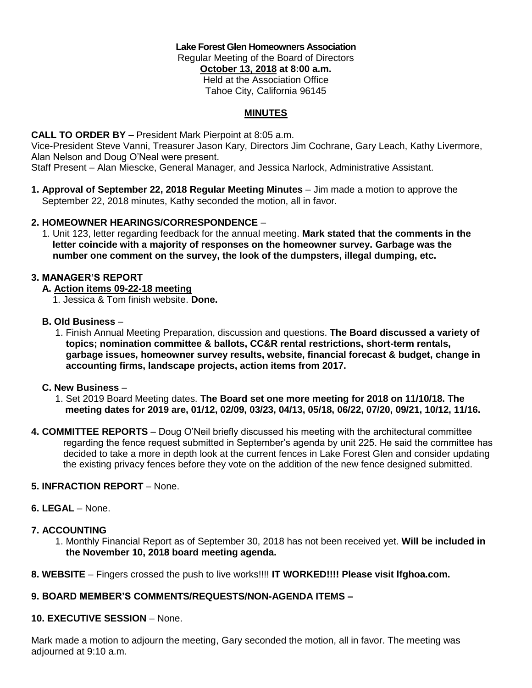**Lake Forest Glen Homeowners Association** Regular Meeting of the Board of Directors **October 13, 2018 at 8:00 a.m.** Held at the Association Office Tahoe City, California 96145

## **MINUTES**

**CALL TO ORDER BY** – President Mark Pierpoint at 8:05 a.m.

Vice-President Steve Vanni, Treasurer Jason Kary, Directors Jim Cochrane, Gary Leach, Kathy Livermore, Alan Nelson and Doug O'Neal were present.

Staff Present – Alan Miescke, General Manager, and Jessica Narlock, Administrative Assistant.

**1. Approval of September 22, 2018 Regular Meeting Minutes** – Jim made a motion to approve the September 22, 2018 minutes, Kathy seconded the motion, all in favor.

## **2. HOMEOWNER HEARINGS/CORRESPONDENCE** –

 1. Unit 123, letter regarding feedback for the annual meeting. **Mark stated that the comments in the letter coincide with a majority of responses on the homeowner survey. Garbage was the number one comment on the survey, the look of the dumpsters, illegal dumping, etc.**

## **3. MANAGER'S REPORT**

- **A. Action items 09-22-18 meeting**
	- 1. Jessica & Tom finish website. **Done.**

## **B. Old Business** –

 1. Finish Annual Meeting Preparation, discussion and questions. **The Board discussed a variety of topics; nomination committee & ballots, CC&R rental restrictions, short-term rentals, garbage issues, homeowner survey results, website, financial forecast & budget, change in accounting firms, landscape projects, action items from 2017.**

#### **C. New Business** –

- 1. Set 2019 Board Meeting dates. **The Board set one more meeting for 2018 on 11/10/18. The meeting dates for 2019 are, 01/12, 02/09, 03/23, 04/13, 05/18, 06/22, 07/20, 09/21, 10/12, 11/16.**
- **4. COMMITTEE REPORTS**  Doug O'Neil briefly discussed his meeting with the architectural committee regarding the fence request submitted in September's agenda by unit 225. He said the committee has decided to take a more in depth look at the current fences in Lake Forest Glen and consider updating the existing privacy fences before they vote on the addition of the new fence designed submitted.

#### **5. INFRACTION REPORT** – None.

#### **6. LEGAL** – None.

#### **7. ACCOUNTING**

- 1. Monthly Financial Report as of September 30, 2018 has not been received yet. **Will be included in the November 10, 2018 board meeting agenda.**
- **8. WEBSITE**  Fingers crossed the push to live works!!!! **IT WORKED!!!! Please visit lfghoa.com.**

## **9. BOARD MEMBER'S COMMENTS/REQUESTS/NON-AGENDA ITEMS –**

#### **10. EXECUTIVE SESSION** – None.

Mark made a motion to adjourn the meeting, Gary seconded the motion, all in favor. The meeting was adjourned at 9:10 a.m.